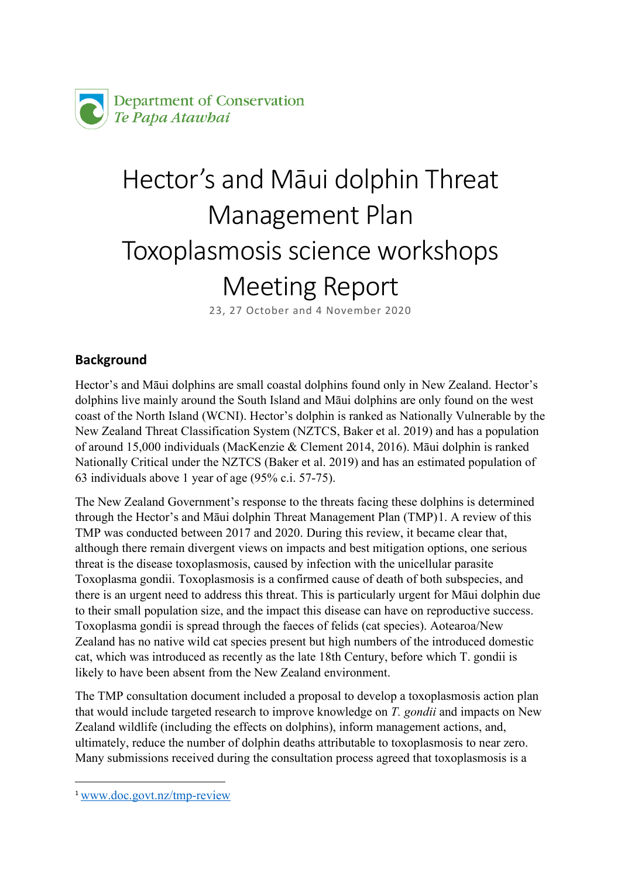

# Hector's and Māui dolphin Threat Management Plan Toxoplasmosis science workshops Meeting Report

23, 27 October and 4 November 2020

# **Background**

Hector's and Māui dolphins are small coastal dolphins found only in New Zealand. Hector's dolphins live mainly around the South Island and Māui dolphins are only found on the west coast of the North Island (WCNI). Hector's dolphin is ranked as Nationally Vulnerable by the New Zealand Threat Classification System (NZTCS, Baker et al. 2019) and has a population of around 15,000 individuals (MacKenzie & Clement 2014, 2016). Māui dolphin is ranked Nationally Critical under the NZTCS (Baker et al. 2019) and has an estimated population of 63 individuals above 1 year of age (95% c.i. 57-75).

The New Zealand Government's response to the threats facing these dolphins is determined through the Hector's and Māui dolphin Threat Management Plan (TMP)[1](#page-0-0). A review of this TMP was conducted between 2017 and 2020. During this review, it became clear that, although there remain divergent views on impacts and best mitigation options, one serious threat is the disease toxoplasmosis, caused by infection with the unicellular parasite Toxoplasma gondii. Toxoplasmosis is a confirmed cause of death of both subspecies, and there is an urgent need to address this threat. This is particularly urgent for Māui dolphin due to their small population size, and the impact this disease can have on reproductive success. Toxoplasma gondii is spread through the faeces of felids (cat species). Aotearoa/New Zealand has no native wild cat species present but high numbers of the introduced domestic cat, which was introduced as recently as the late 18th Century, before which T. gondii is likely to have been absent from the New Zealand environment.

The TMP consultation document included a proposal to develop a toxoplasmosis action plan that would include targeted research to improve knowledge on *T. gondii* and impacts on New Zealand wildlife (including the effects on dolphins), inform management actions, and, ultimately, reduce the number of dolphin deaths attributable to toxoplasmosis to near zero. Many submissions received during the consultation process agreed that toxoplasmosis is a

<span id="page-0-0"></span><sup>1</sup> [www.doc.govt.nz/tmp](http://www.doc.govt.nz/tmp-review)-review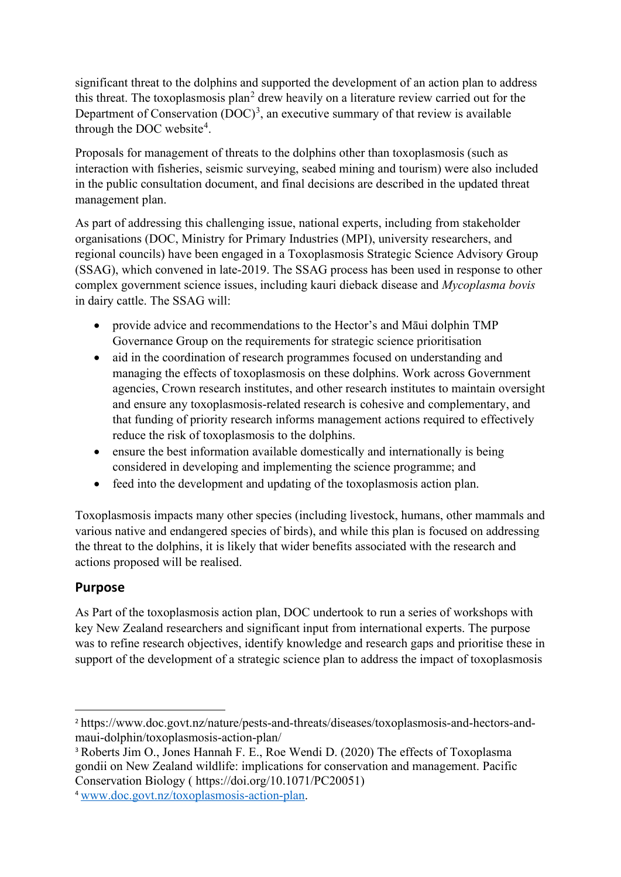significant threat to the dolphins and supported the development of an action plan to address this threat. The toxoplasmosis plan<sup>[2](#page-1-0)</sup> drew heavily on a literature review carried out for the Department of Conservation  $(DOC)^3$  $(DOC)^3$ , an executive summary of that review is available through the DOC website<sup>[4](#page-1-2)</sup>.

Proposals for management of threats to the dolphins other than toxoplasmosis (such as interaction with fisheries, seismic surveying, seabed mining and tourism) were also included in the public consultation document, and final decisions are described in the updated threat management plan.

As part of addressing this challenging issue, national experts, including from stakeholder organisations (DOC, Ministry for Primary Industries (MPI), university researchers, and regional councils) have been engaged in a Toxoplasmosis Strategic Science Advisory Group (SSAG), which convened in late-2019. The SSAG process has been used in response to other complex government science issues, including kauri dieback disease and *Mycoplasma bovis* in dairy cattle. The SSAG will:

- provide advice and recommendations to the Hector's and Māui dolphin TMP Governance Group on the requirements for strategic science prioritisation
- aid in the coordination of research programmes focused on understanding and managing the effects of toxoplasmosis on these dolphins. Work across Government agencies, Crown research institutes, and other research institutes to maintain oversight and ensure any toxoplasmosis-related research is cohesive and complementary, and that funding of priority research informs management actions required to effectively reduce the risk of toxoplasmosis to the dolphins.
- ensure the best information available domestically and internationally is being considered in developing and implementing the science programme; and
- feed into the development and updating of the toxoplasmosis action plan.

Toxoplasmosis impacts many other species (including livestock, humans, other mammals and various native and endangered species of birds), and while this plan is focused on addressing the threat to the dolphins, it is likely that wider benefits associated with the research and actions proposed will be realised.

# **Purpose**

As Part of the toxoplasmosis action plan, DOC undertook to run a series of workshops with key New Zealand researchers and significant input from international experts. The purpose was to refine research objectives, identify knowledge and research gaps and prioritise these in support of the development of a strategic science plan to address the impact of toxoplasmosis

<span id="page-1-0"></span><sup>2</sup> https://www.doc.govt.nz/nature/pests-and-threats/diseases/toxoplasmosis-and-hectors-andmaui-dolphin/toxoplasmosis-action-plan/

<span id="page-1-1"></span><sup>3</sup> Roberts Jim O., Jones Hannah F. E., Roe Wendi D. (2020) The effects of Toxoplasma gondii on New Zealand wildlife: implications for conservation and management. Pacific Conservation Biology ( [https://doi.org/10.1071/PC20051\)](https://apc01.safelinks.protection.outlook.com/?url=https%3A%2F%2Fdoi.org%2F10.1071%2FPC20051&data=04%7C01%7Cavanhelden%40doc.govt.nz%7C685c9207bc8d48a4bb3708d8a31237ee%7Cf0cbb24fa2f6498fb5366eb9a13a357c%7C0%7C0%7C637438645956996606%7CUnknown%7CTWFpbGZsb3d8eyJWIjoiMC4wLjAwMDAiLCJQIjoiV2luMzIiLCJBTiI6Ik1haWwiLCJXVCI6Mn0%3D%7C1000&sdata=BLdH%2BOlmrN3uQSU4emwWjAD%2FzfA0BEfhI07OTJA%2BWlc%3D&reserved=0)

<span id="page-1-2"></span><sup>4</sup> [www.doc.govt.nz/toxoplasmosis](http://www.doc.govt.nz/toxoplasmosis-action-plan)-action-plan.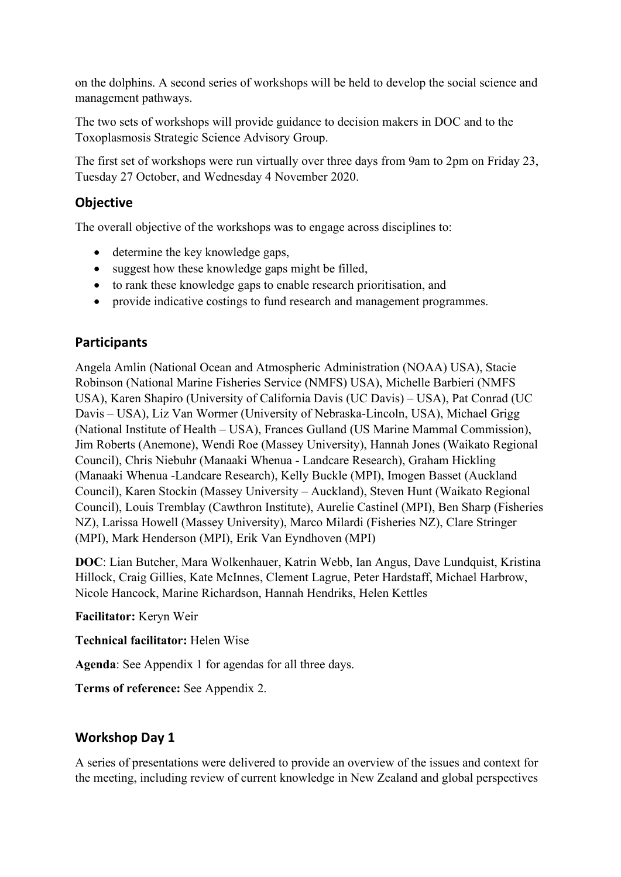on the dolphins. A second series of workshops will be held to develop the social science and management pathways.

The two sets of workshops will provide guidance to decision makers in DOC and to the Toxoplasmosis Strategic Science Advisory Group.

The first set of workshops were run virtually over three days from 9am to 2pm on Friday 23, Tuesday 27 October, and Wednesday 4 November 2020.

# **Objective**

The overall objective of the workshops was to engage across disciplines to:

- determine the key knowledge gaps,
- suggest how these knowledge gaps might be filled,
- to rank these knowledge gaps to enable research prioritisation, and
- provide indicative costings to fund research and management programmes.

# **Participants**

Angela Amlin (National Ocean and Atmospheric Administration (NOAA) USA), Stacie Robinson (National Marine Fisheries Service (NMFS) USA), Michelle Barbieri (NMFS USA), Karen Shapiro (University of California Davis (UC Davis) – USA), Pat Conrad (UC Davis – USA), Liz Van Wormer (University of Nebraska-Lincoln, USA), Michael Grigg (National Institute of Health – USA), Frances Gulland (US Marine Mammal Commission), Jim Roberts (Anemone), Wendi Roe (Massey University), Hannah Jones (Waikato Regional Council), Chris Niebuhr (Manaaki Whenua - Landcare Research), Graham Hickling (Manaaki Whenua -Landcare Research), Kelly Buckle (MPI), Imogen Basset (Auckland Council), Karen Stockin (Massey University – Auckland), Steven Hunt (Waikato Regional Council), Louis Tremblay (Cawthron Institute), Aurelie Castinel (MPI), Ben Sharp (Fisheries NZ), Larissa Howell (Massey University), Marco Milardi (Fisheries NZ), Clare Stringer (MPI), Mark Henderson (MPI), Erik Van Eyndhoven (MPI)

**DOC**: Lian Butcher, Mara Wolkenhauer, Katrin Webb, Ian Angus, Dave Lundquist, Kristina Hillock, Craig Gillies, Kate McInnes, Clement Lagrue, Peter Hardstaff, Michael Harbrow, Nicole Hancock, Marine Richardson, Hannah Hendriks, Helen Kettles

### **Facilitator:** Keryn Weir

**Technical facilitator:** Helen Wise

**Agenda**: See Appendix 1 for agendas for all three days.

**Terms of reference:** See Appendix 2.

# **Workshop Day 1**

A series of presentations were delivered to provide an overview of the issues and context for the meeting, including review of current knowledge in New Zealand and global perspectives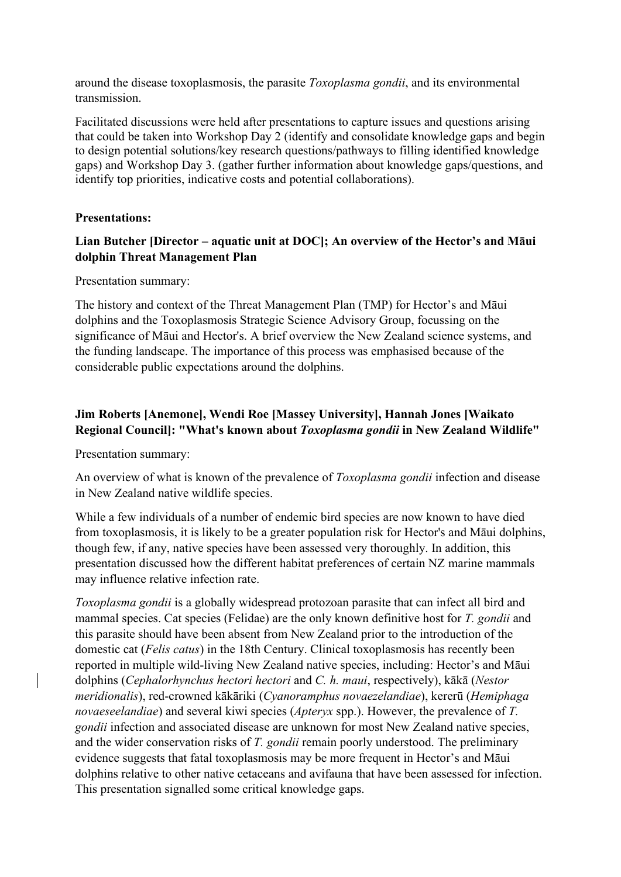around the disease toxoplasmosis, the parasite *Toxoplasma gondii*, and its environmental transmission.

Facilitated discussions were held after presentations to capture issues and questions arising that could be taken into Workshop Day 2 (identify and consolidate knowledge gaps and begin to design potential solutions/key research questions/pathways to filling identified knowledge gaps) and Workshop Day 3. (gather further information about knowledge gaps/questions, and identify top priorities, indicative costs and potential collaborations).

### **Presentations:**

### **Lian Butcher [Director – aquatic unit at DOC]; An overview of the Hector's and Māui dolphin Threat Management Plan**

Presentation summary:

The history and context of the Threat Management Plan (TMP) for Hector's and Māui dolphins and the Toxoplasmosis Strategic Science Advisory Group, focussing on the significance of Māui and Hector's. A brief overview the New Zealand science systems, and the funding landscape. The importance of this process was emphasised because of the considerable public expectations around the dolphins.

### **Jim Roberts [Anemone], Wendi Roe [Massey University], Hannah Jones [Waikato Regional Council]: "What's known about** *Toxoplasma gondii* **in New Zealand Wildlife"**

Presentation summary:

An overview of what is known of the prevalence of *Toxoplasma gondii* infection and disease in New Zealand native wildlife species.

While a few individuals of a number of endemic bird species are now known to have died from toxoplasmosis, it is likely to be a greater population risk for Hector's and Māui dolphins, though few, if any, native species have been assessed very thoroughly. In addition, this presentation discussed how the different habitat preferences of certain NZ marine mammals may influence relative infection rate.

*Toxoplasma gondii* is a globally widespread protozoan parasite that can infect all bird and mammal species. Cat species (Felidae) are the only known definitive host for *T. gondii* and this parasite should have been absent from New Zealand prior to the introduction of the domestic cat (*Felis catus*) in the 18th Century. Clinical toxoplasmosis has recently been reported in multiple wild-living New Zealand native species, including: Hector's and Māui dolphins (*Cephalorhynchus hectori hectori* and *C. h. maui*, respectively), kākā (*Nestor meridionalis*), red-crowned kākāriki (*Cyanoramphus novaezelandiae*), kererū (*Hemiphaga novaeseelandiae*) and several kiwi species (*Apteryx* spp.). However, the prevalence of *T. gondii* infection and associated disease are unknown for most New Zealand native species, and the wider conservation risks of *T. gondii* remain poorly understood. The preliminary evidence suggests that fatal toxoplasmosis may be more frequent in Hector's and Māui dolphins relative to other native cetaceans and avifauna that have been assessed for infection. This presentation signalled some critical knowledge gaps.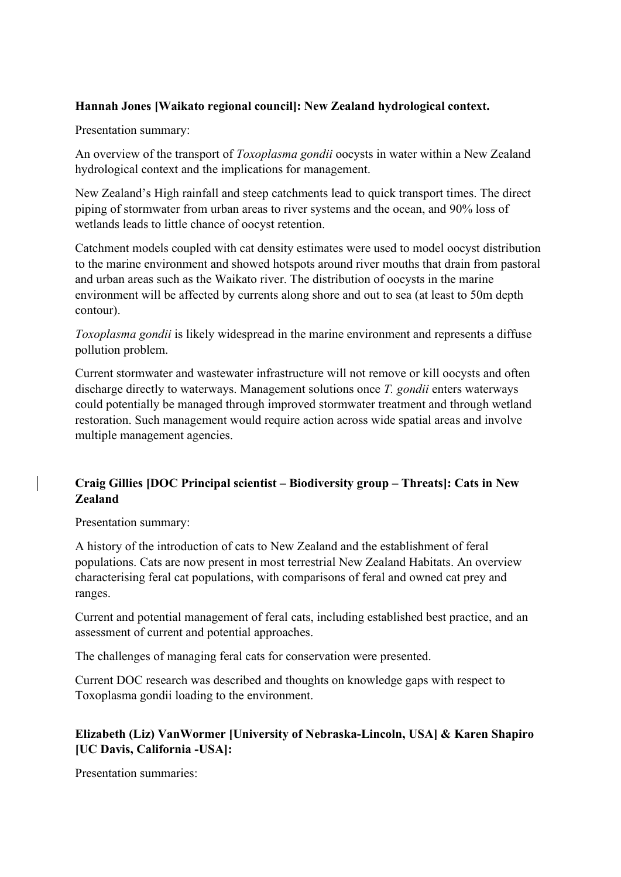### **Hannah Jones [Waikato regional council]: New Zealand hydrological context.**

Presentation summary:

An overview of the transport of *Toxoplasma gondii* oocysts in water within a New Zealand hydrological context and the implications for management.

New Zealand's High rainfall and steep catchments lead to quick transport times. The direct piping of stormwater from urban areas to river systems and the ocean, and 90% loss of wetlands leads to little chance of oocyst retention.

Catchment models coupled with cat density estimates were used to model oocyst distribution to the marine environment and showed hotspots around river mouths that drain from pastoral and urban areas such as the Waikato river. The distribution of oocysts in the marine environment will be affected by currents along shore and out to sea (at least to 50m depth contour).

*Toxoplasma gondii* is likely widespread in the marine environment and represents a diffuse pollution problem.

Current stormwater and wastewater infrastructure will not remove or kill oocysts and often discharge directly to waterways. Management solutions once *T. gondii* enters waterways could potentially be managed through improved stormwater treatment and through wetland restoration. Such management would require action across wide spatial areas and involve multiple management agencies.

### **Craig Gillies [DOC Principal scientist – Biodiversity group – Threats]: Cats in New Zealand**

Presentation summary:

A history of the introduction of cats to New Zealand and the establishment of feral populations. Cats are now present in most terrestrial New Zealand Habitats. An overview characterising feral cat populations, with comparisons of feral and owned cat prey and ranges.

Current and potential management of feral cats, including established best practice, and an assessment of current and potential approaches.

The challenges of managing feral cats for conservation were presented.

Current DOC research was described and thoughts on knowledge gaps with respect to Toxoplasma gondii loading to the environment.

### **Elizabeth (Liz) VanWormer [University of Nebraska-Lincoln, USA] & Karen Shapiro [UC Davis, California -USA]:**

Presentation summaries: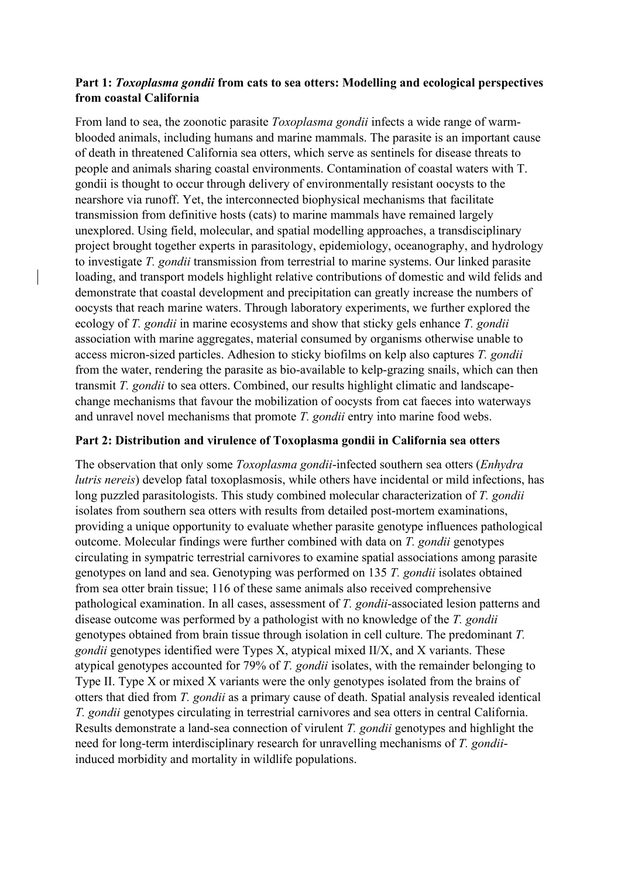### **Part 1:** *Toxoplasma gondii* **from cats to sea otters: Modelling and ecological perspectives from coastal California**

From land to sea, the zoonotic parasite *Toxoplasma gondii* infects a wide range of warmblooded animals, including humans and marine mammals. The parasite is an important cause of death in threatened California sea otters, which serve as sentinels for disease threats to people and animals sharing coastal environments. Contamination of coastal waters with T. gondii is thought to occur through delivery of environmentally resistant oocysts to the nearshore via runoff. Yet, the interconnected biophysical mechanisms that facilitate transmission from definitive hosts (cats) to marine mammals have remained largely unexplored. Using field, molecular, and spatial modelling approaches, a transdisciplinary project brought together experts in parasitology, epidemiology, oceanography, and hydrology to investigate *T. gondii* transmission from terrestrial to marine systems. Our linked parasite loading, and transport models highlight relative contributions of domestic and wild felids and demonstrate that coastal development and precipitation can greatly increase the numbers of oocysts that reach marine waters. Through laboratory experiments, we further explored the ecology of *T. gondii* in marine ecosystems and show that sticky gels enhance *T. gondii* association with marine aggregates, material consumed by organisms otherwise unable to access micron-sized particles. Adhesion to sticky biofilms on kelp also captures *T. gondii* from the water, rendering the parasite as bio-available to kelp-grazing snails, which can then transmit *T. gondii* to sea otters. Combined, our results highlight climatic and landscapechange mechanisms that favour the mobilization of oocysts from cat faeces into waterways and unravel novel mechanisms that promote *T. gondii* entry into marine food webs.

### **Part 2: Distribution and virulence of Toxoplasma gondii in California sea otters**

The observation that only some *Toxoplasma gondii*-infected southern sea otters (*Enhydra lutris nereis*) develop fatal toxoplasmosis, while others have incidental or mild infections, has long puzzled parasitologists. This study combined molecular characterization of *T. gondii* isolates from southern sea otters with results from detailed post-mortem examinations, providing a unique opportunity to evaluate whether parasite genotype influences pathological outcome. Molecular findings were further combined with data on *T. gondii* genotypes circulating in sympatric terrestrial carnivores to examine spatial associations among parasite genotypes on land and sea. Genotyping was performed on 135 *T. gondii* isolates obtained from sea otter brain tissue; 116 of these same animals also received comprehensive pathological examination. In all cases, assessment of *T. gondii*-associated lesion patterns and disease outcome was performed by a pathologist with no knowledge of the *T. gondii* genotypes obtained from brain tissue through isolation in cell culture. The predominant *T. gondii* genotypes identified were Types X, atypical mixed II/X, and X variants. These atypical genotypes accounted for 79% of *T. gondii* isolates, with the remainder belonging to Type II. Type X or mixed X variants were the only genotypes isolated from the brains of otters that died from *T. gondii* as a primary cause of death. Spatial analysis revealed identical *T. gondii* genotypes circulating in terrestrial carnivores and sea otters in central California. Results demonstrate a land-sea connection of virulent *T. gondii* genotypes and highlight the need for long-term interdisciplinary research for unravelling mechanisms of *T. gondii*induced morbidity and mortality in wildlife populations.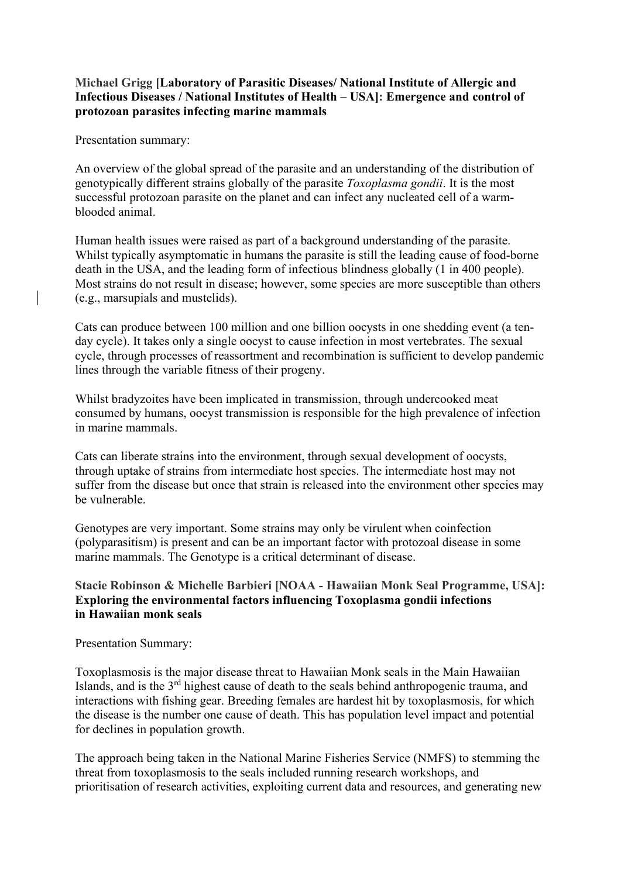### **Michael Grigg [Laboratory of Parasitic Diseases/ National Institute of Allergic and Infectious Diseases / National Institutes of Health – USA]: Emergence and control of protozoan parasites infecting marine mammals**

Presentation summary:

An overview of the global spread of the parasite and an understanding of the distribution of genotypically different strains globally of the parasite *Toxoplasma gondii*. It is the most successful protozoan parasite on the planet and can infect any nucleated cell of a warmblooded animal.

Human health issues were raised as part of a background understanding of the parasite. Whilst typically asymptomatic in humans the parasite is still the leading cause of food-borne death in the USA, and the leading form of infectious blindness globally (1 in 400 people). Most strains do not result in disease; however, some species are more susceptible than others (e.g., marsupials and mustelids).

Cats can produce between 100 million and one billion oocysts in one shedding event (a tenday cycle). It takes only a single oocyst to cause infection in most vertebrates. The sexual cycle, through processes of reassortment and recombination is sufficient to develop pandemic lines through the variable fitness of their progeny.

Whilst bradyzoites have been implicated in transmission, through undercooked meat consumed by humans, oocyst transmission is responsible for the high prevalence of infection in marine mammals.

Cats can liberate strains into the environment, through sexual development of oocysts, through uptake of strains from intermediate host species. The intermediate host may not suffer from the disease but once that strain is released into the environment other species may be vulnerable.

Genotypes are very important. Some strains may only be virulent when coinfection (polyparasitism) is present and can be an important factor with protozoal disease in some marine mammals. The Genotype is a critical determinant of disease.

### **Stacie Robinson & Michelle Barbieri [NOAA - Hawaiian Monk Seal Programme, USA]: Exploring the environmental factors influencing Toxoplasma gondii infections in Hawaiian monk seals**

Presentation Summary:

Toxoplasmosis is the major disease threat to Hawaiian Monk seals in the Main Hawaiian Islands, and is the 3rd highest cause of death to the seals behind anthropogenic trauma, and interactions with fishing gear. Breeding females are hardest hit by toxoplasmosis, for which the disease is the number one cause of death. This has population level impact and potential for declines in population growth.

The approach being taken in the National Marine Fisheries Service (NMFS) to stemming the threat from toxoplasmosis to the seals included running research workshops, and prioritisation of research activities, exploiting current data and resources, and generating new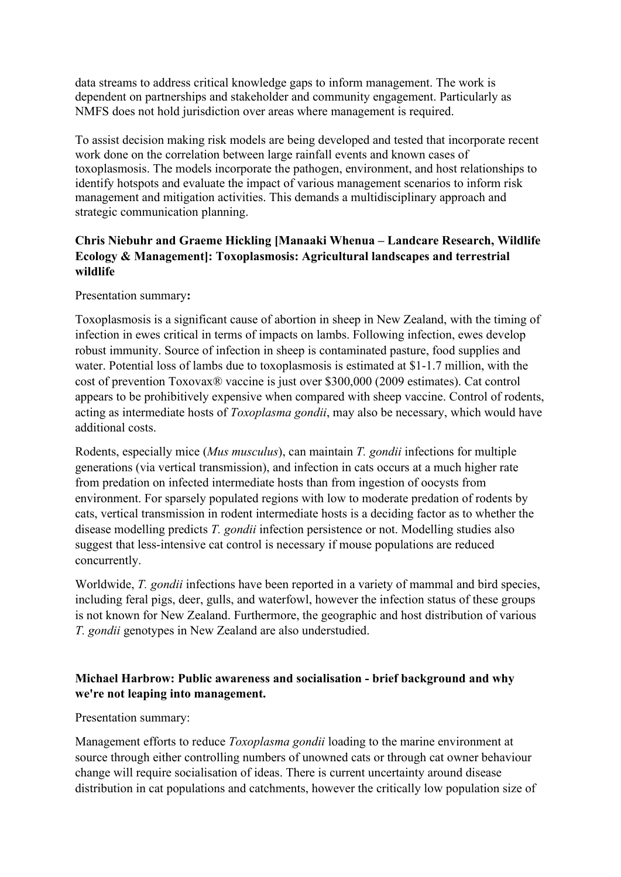data streams to address critical knowledge gaps to inform management. The work is dependent on partnerships and stakeholder and community engagement. Particularly as NMFS does not hold jurisdiction over areas where management is required.

To assist decision making risk models are being developed and tested that incorporate recent work done on the correlation between large rainfall events and known cases of toxoplasmosis. The models incorporate the pathogen, environment, and host relationships to identify hotspots and evaluate the impact of various management scenarios to inform risk management and mitigation activities. This demands a multidisciplinary approach and strategic communication planning.

### **Chris Niebuhr and Graeme Hickling [Manaaki Whenua – Landcare Research, Wildlife Ecology & Management]: Toxoplasmosis: Agricultural landscapes and terrestrial wildlife**

Presentation summary**:**

Toxoplasmosis is a significant cause of abortion in sheep in New Zealand, with the timing of infection in ewes critical in terms of impacts on lambs. Following infection, ewes develop robust immunity. Source of infection in sheep is contaminated pasture, food supplies and water. Potential loss of lambs due to toxoplasmosis is estimated at \$1-1.7 million, with the cost of prevention Toxovax® vaccine is just over \$300,000 (2009 estimates). Cat control appears to be prohibitively expensive when compared with sheep vaccine. Control of rodents, acting as intermediate hosts of *Toxoplasma gondii*, may also be necessary, which would have additional costs.

Rodents, especially mice (*Mus musculus*), can maintain *T. gondii* infections for multiple generations (via vertical transmission), and infection in cats occurs at a much higher rate from predation on infected intermediate hosts than from ingestion of oocysts from environment. For sparsely populated regions with low to moderate predation of rodents by cats, vertical transmission in rodent intermediate hosts is a deciding factor as to whether the disease modelling predicts *T. gondii* infection persistence or not. Modelling studies also suggest that less-intensive cat control is necessary if mouse populations are reduced concurrently.

Worldwide, *T. gondii* infections have been reported in a variety of mammal and bird species, including feral pigs, deer, gulls, and waterfowl, however the infection status of these groups is not known for New Zealand. Furthermore, the geographic and host distribution of various *T. gondii* genotypes in New Zealand are also understudied.

### **Michael Harbrow: Public awareness and socialisation - brief background and why we're not leaping into management.**

Presentation summary:

Management efforts to reduce *Toxoplasma gondii* loading to the marine environment at source through either controlling numbers of unowned cats or through cat owner behaviour change will require socialisation of ideas. There is current uncertainty around disease distribution in cat populations and catchments, however the critically low population size of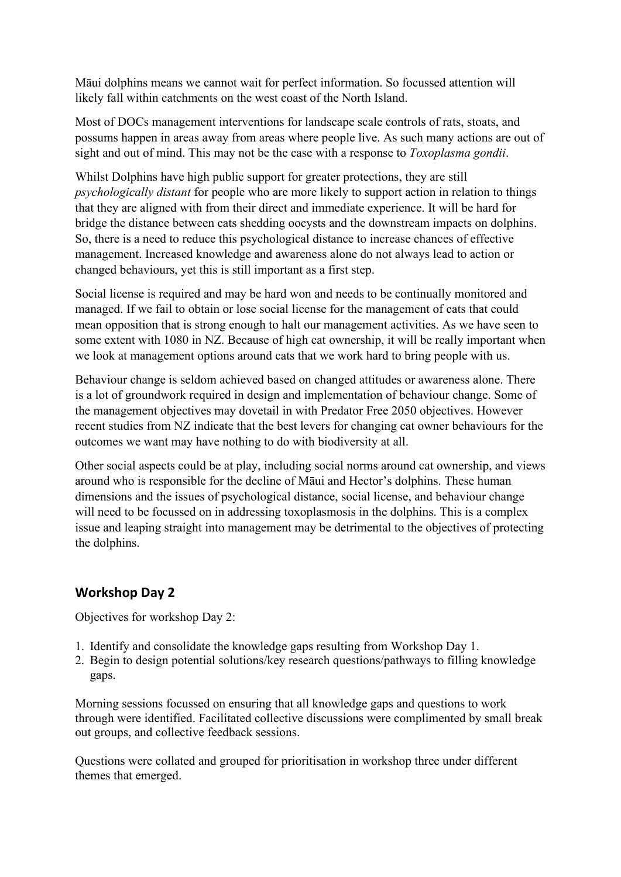Māui dolphins means we cannot wait for perfect information. So focussed attention will likely fall within catchments on the west coast of the North Island.

Most of DOCs management interventions for landscape scale controls of rats, stoats, and possums happen in areas away from areas where people live. As such many actions are out of sight and out of mind. This may not be the case with a response to *Toxoplasma gondii*.

Whilst Dolphins have high public support for greater protections, they are still *psychologically distant* for people who are more likely to support action in relation to things that they are aligned with from their direct and immediate experience. It will be hard for bridge the distance between cats shedding oocysts and the downstream impacts on dolphins. So, there is a need to reduce this psychological distance to increase chances of effective management. Increased knowledge and awareness alone do not always lead to action or changed behaviours, yet this is still important as a first step.

Social license is required and may be hard won and needs to be continually monitored and managed. If we fail to obtain or lose social license for the management of cats that could mean opposition that is strong enough to halt our management activities. As we have seen to some extent with 1080 in NZ. Because of high cat ownership, it will be really important when we look at management options around cats that we work hard to bring people with us.

Behaviour change is seldom achieved based on changed attitudes or awareness alone. There is a lot of groundwork required in design and implementation of behaviour change. Some of the management objectives may dovetail in with Predator Free 2050 objectives. However recent studies from NZ indicate that the best levers for changing cat owner behaviours for the outcomes we want may have nothing to do with biodiversity at all.

Other social aspects could be at play, including social norms around cat ownership, and views around who is responsible for the decline of Māui and Hector's dolphins. These human dimensions and the issues of psychological distance, social license, and behaviour change will need to be focussed on in addressing toxoplasmosis in the dolphins. This is a complex issue and leaping straight into management may be detrimental to the objectives of protecting the dolphins.

# **Workshop Day 2**

Objectives for workshop Day 2:

- 1. Identify and consolidate the knowledge gaps resulting from Workshop Day 1.
- 2. Begin to design potential solutions/key research questions/pathways to filling knowledge gaps.

Morning sessions focussed on ensuring that all knowledge gaps and questions to work through were identified. Facilitated collective discussions were complimented by small break out groups, and collective feedback sessions.

Questions were collated and grouped for prioritisation in workshop three under different themes that emerged.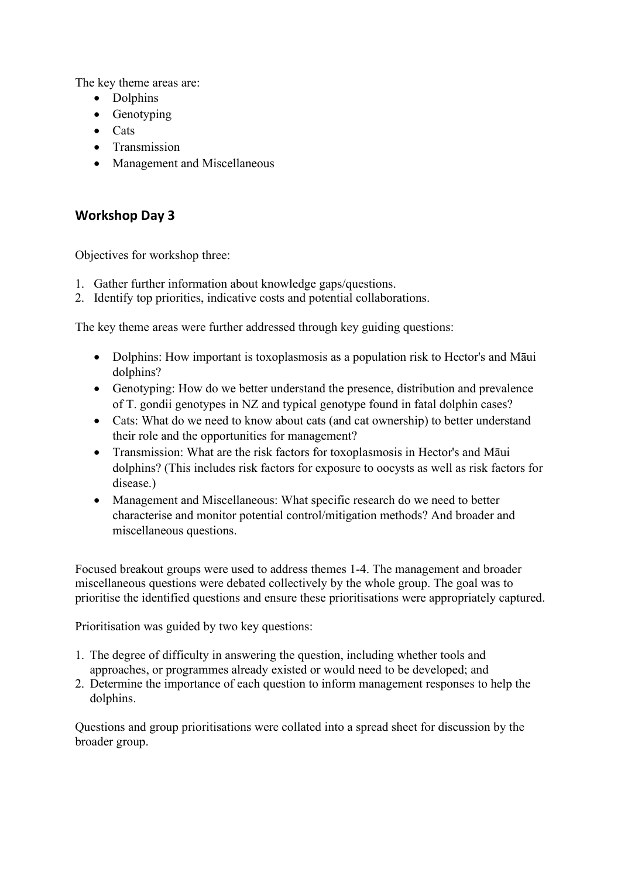The key theme areas are:

- Dolphins
- Genotyping
- Cats
- Transmission
- Management and Miscellaneous

# **Workshop Day 3**

Objectives for workshop three:

- 1. Gather further information about knowledge gaps/questions.
- 2. Identify top priorities, indicative costs and potential collaborations.

The key theme areas were further addressed through key guiding questions:

- Dolphins: How important is toxoplasmosis as a population risk to Hector's and Māui dolphins?
- Genotyping: How do we better understand the presence, distribution and prevalence of T. gondii genotypes in NZ and typical genotype found in fatal dolphin cases?
- Cats: What do we need to know about cats (and cat ownership) to better understand their role and the opportunities for management?
- Transmission: What are the risk factors for toxoplasmosis in Hector's and Māui dolphins? (This includes risk factors for exposure to oocysts as well as risk factors for disease.)
- Management and Miscellaneous: What specific research do we need to better characterise and monitor potential control/mitigation methods? And broader and miscellaneous questions.

Focused breakout groups were used to address themes 1-4. The management and broader miscellaneous questions were debated collectively by the whole group. The goal was to prioritise the identified questions and ensure these prioritisations were appropriately captured.

Prioritisation was guided by two key questions:

- 1. The degree of difficulty in answering the question, including whether tools and approaches, or programmes already existed or would need to be developed; and
- 2. Determine the importance of each question to inform management responses to help the dolphins.

Questions and group prioritisations were collated into a spread sheet for discussion by the broader group.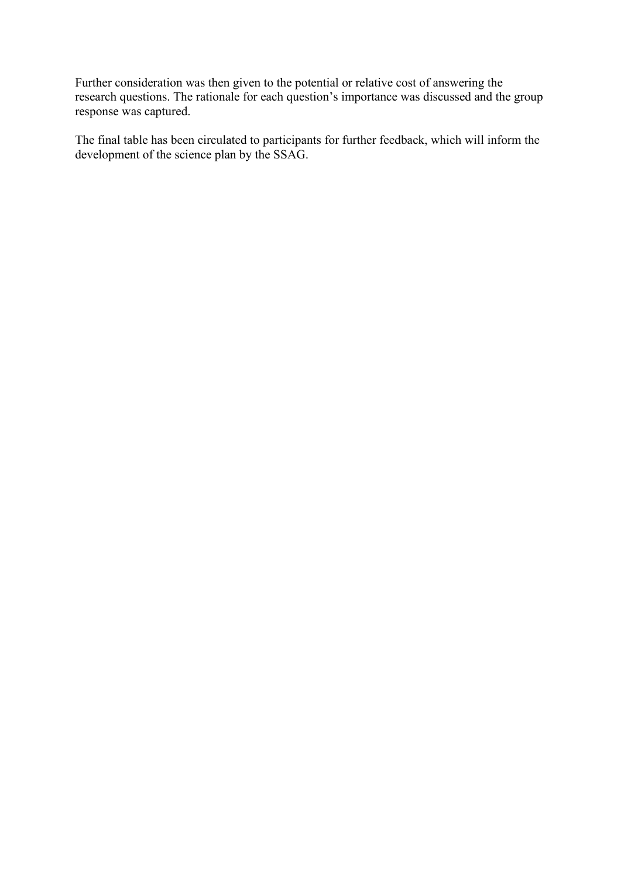Further consideration was then given to the potential or relative cost of answering the research questions. The rationale for each question's importance was discussed and the group response was captured.

The final table has been circulated to participants for further feedback, which will inform the development of the science plan by the SSAG.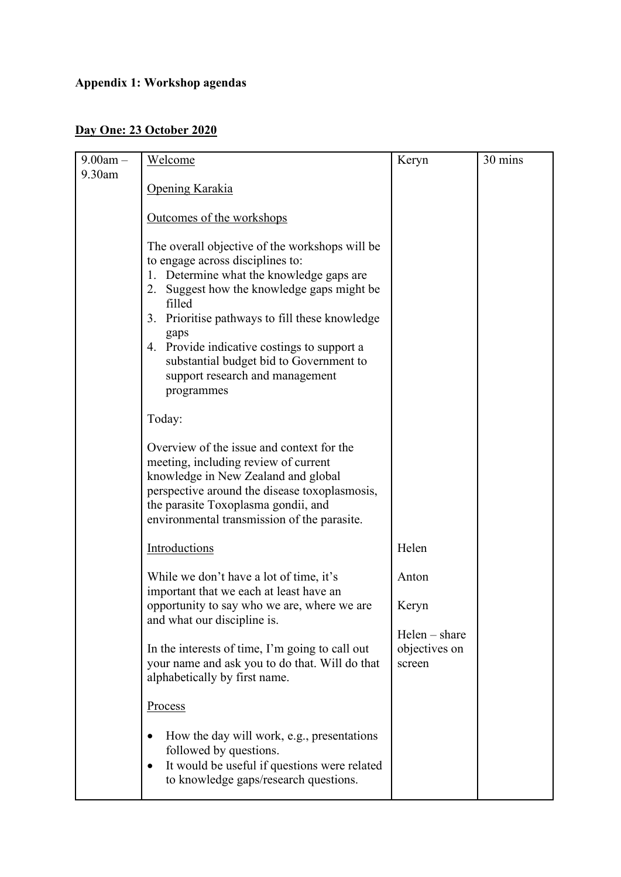# **Appendix 1: Workshop agendas**

# **Day One: 23 October 2020**

| $9.00am -$ | Welcome                                                                              | Keryn           | 30 mins |
|------------|--------------------------------------------------------------------------------------|-----------------|---------|
| 9.30am     |                                                                                      |                 |         |
|            | Opening Karakia                                                                      |                 |         |
|            |                                                                                      |                 |         |
|            | Outcomes of the workshops                                                            |                 |         |
|            | The overall objective of the workshops will be                                       |                 |         |
|            | to engage across disciplines to:                                                     |                 |         |
|            | Determine what the knowledge gaps are<br>1.                                          |                 |         |
|            | 2. Suggest how the knowledge gaps might be                                           |                 |         |
|            | filled                                                                               |                 |         |
|            | Prioritise pathways to fill these knowledge<br>3.<br>gaps                            |                 |         |
|            | 4. Provide indicative costings to support a                                          |                 |         |
|            | substantial budget bid to Government to                                              |                 |         |
|            | support research and management                                                      |                 |         |
|            | programmes                                                                           |                 |         |
|            | Today:                                                                               |                 |         |
|            |                                                                                      |                 |         |
|            | Overview of the issue and context for the                                            |                 |         |
|            | meeting, including review of current                                                 |                 |         |
|            | knowledge in New Zealand and global<br>perspective around the disease toxoplasmosis, |                 |         |
|            | the parasite Toxoplasma gondii, and                                                  |                 |         |
|            | environmental transmission of the parasite.                                          |                 |         |
|            |                                                                                      |                 |         |
|            | Introductions                                                                        | Helen           |         |
|            | While we don't have a lot of time, it's                                              | Anton           |         |
|            | important that we each at least have an                                              |                 |         |
|            | opportunity to say who we are, where we are                                          | Keryn           |         |
|            | and what our discipline is.                                                          | $Helen - share$ |         |
|            | In the interests of time, I'm going to call out                                      | objectives on   |         |
|            | your name and ask you to do that. Will do that                                       | screen          |         |
|            | alphabetically by first name.                                                        |                 |         |
|            |                                                                                      |                 |         |
|            | <b>Process</b>                                                                       |                 |         |
|            | How the day will work, e.g., presentations                                           |                 |         |
|            | followed by questions.                                                               |                 |         |
|            | It would be useful if questions were related<br>$\bullet$                            |                 |         |
|            | to knowledge gaps/research questions.                                                |                 |         |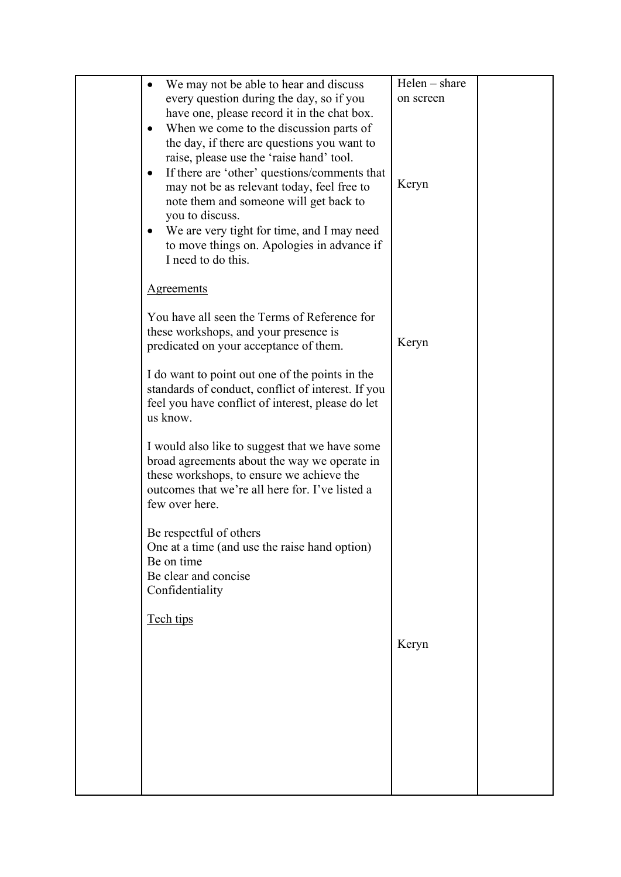| We may not be able to hear and discuss                                                         | Helen - share |  |
|------------------------------------------------------------------------------------------------|---------------|--|
| every question during the day, so if you                                                       | on screen     |  |
| have one, please record it in the chat box.                                                    |               |  |
| When we come to the discussion parts of<br>$\bullet$                                           |               |  |
| the day, if there are questions you want to                                                    |               |  |
| raise, please use the 'raise hand' tool.                                                       |               |  |
| If there are 'other' questions/comments that<br>$\bullet$                                      | Keryn         |  |
| may not be as relevant today, feel free to<br>note them and someone will get back to           |               |  |
| you to discuss.                                                                                |               |  |
| We are very tight for time, and I may need<br>$\bullet$                                        |               |  |
| to move things on. Apologies in advance if                                                     |               |  |
| I need to do this.                                                                             |               |  |
|                                                                                                |               |  |
| <b>Agreements</b>                                                                              |               |  |
|                                                                                                |               |  |
| You have all seen the Terms of Reference for                                                   |               |  |
| these workshops, and your presence is<br>predicated on your acceptance of them.                | Keryn         |  |
|                                                                                                |               |  |
| I do want to point out one of the points in the                                                |               |  |
| standards of conduct, conflict of interest. If you                                             |               |  |
| feel you have conflict of interest, please do let                                              |               |  |
| us know.                                                                                       |               |  |
|                                                                                                |               |  |
| I would also like to suggest that we have some<br>broad agreements about the way we operate in |               |  |
| these workshops, to ensure we achieve the                                                      |               |  |
| outcomes that we're all here for. I've listed a                                                |               |  |
| few over here.                                                                                 |               |  |
|                                                                                                |               |  |
| Be respectful of others                                                                        |               |  |
| One at a time (and use the raise hand option)<br>Be on time                                    |               |  |
| Be clear and concise                                                                           |               |  |
| Confidentiality                                                                                |               |  |
|                                                                                                |               |  |
| Tech tips                                                                                      |               |  |
|                                                                                                | Keryn         |  |
|                                                                                                |               |  |
|                                                                                                |               |  |
|                                                                                                |               |  |
|                                                                                                |               |  |
|                                                                                                |               |  |
|                                                                                                |               |  |
|                                                                                                |               |  |
|                                                                                                |               |  |
|                                                                                                |               |  |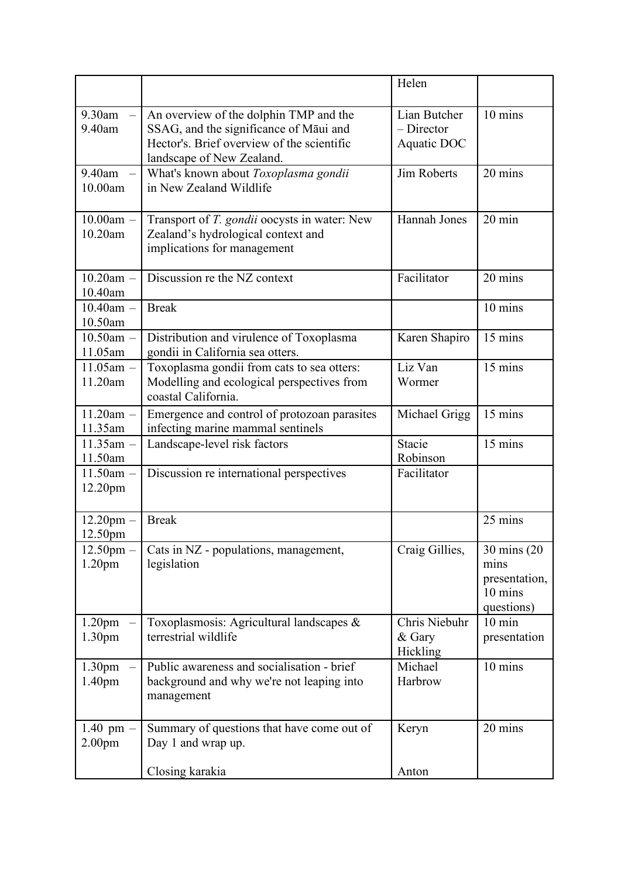|                                          |                                                                                                                                                             | Helen                                       |                                                                |
|------------------------------------------|-------------------------------------------------------------------------------------------------------------------------------------------------------------|---------------------------------------------|----------------------------------------------------------------|
| 9.30am<br>$9.40$ am                      | An overview of the dolphin TMP and the<br>SSAG, and the significance of Māui and<br>Hector's. Brief overview of the scientific<br>landscape of New Zealand. | Lian Butcher<br>$-$ Director<br>Aquatic DOC | 10 mins                                                        |
| 9.40am<br>10.00am                        | What's known about Toxoplasma gondii<br>in New Zealand Wildlife                                                                                             | Jim Roberts                                 | 20 mins                                                        |
| $10.00$ am -<br>10.20am                  | Transport of T. gondii oocysts in water: New<br>Zealand's hydrological context and<br>implications for management                                           | <b>Hannah Jones</b>                         | $20 \text{ min}$                                               |
| $10.20$ am -<br>10.40am                  | Discussion re the NZ context                                                                                                                                | Facilitator                                 | 20 mins                                                        |
| $10.40$ am $-$<br>10.50am                | <b>Break</b>                                                                                                                                                |                                             | 10 mins                                                        |
| $10.50$ am $-$<br>11.05am                | Distribution and virulence of Toxoplasma<br>gondii in California sea otters.                                                                                | Karen Shapiro                               | 15 mins                                                        |
| $11.05$ am $-$<br>11.20am                | Toxoplasma gondii from cats to sea otters:<br>Modelling and ecological perspectives from<br>coastal California.                                             | Liz Van<br>Wormer                           | $15 \text{ mins}$                                              |
| $11.20$ am -<br>11.35am                  | Emergence and control of protozoan parasites<br>infecting marine mammal sentinels                                                                           | Michael Grigg                               | 15 mins                                                        |
| $11.35$ am -<br>11.50am                  | Landscape-level risk factors                                                                                                                                | Stacie<br>Robinson                          | $15 \text{ mins}$                                              |
| $11.50$ am -<br>12.20pm                  | Discussion re international perspectives                                                                                                                    | Facilitator                                 |                                                                |
| $12.20$ pm $-$<br>12.50pm                | <b>Break</b>                                                                                                                                                |                                             | 25 mins                                                        |
| $12.50$ pm $-$<br>1.20 <sub>pm</sub>     | Cats in NZ - populations, management,<br>legislation                                                                                                        | Craig Gillies,                              | 30 mins (20)<br>mins<br>presentation,<br>10 mins<br>questions) |
| 1.20 <sub>pm</sub><br>1.30 <sub>pm</sub> | Toxoplasmosis: Agricultural landscapes &<br>terrestrial wildlife                                                                                            | Chris Niebuhr<br>& Gary<br>Hickling         | $10 \text{ min}$<br>presentation                               |
| 1.30 <sub>pm</sub><br>1.40 <sub>pm</sub> | Public awareness and socialisation - brief<br>background and why we're not leaping into<br>management                                                       | Michael<br>Harbrow                          | 10 mins                                                        |
| $1.40$ pm<br>2.00 <sub>pm</sub>          | Summary of questions that have come out of<br>Day 1 and wrap up.                                                                                            | Keryn                                       | 20 mins                                                        |
|                                          | Closing karakia                                                                                                                                             | Anton                                       |                                                                |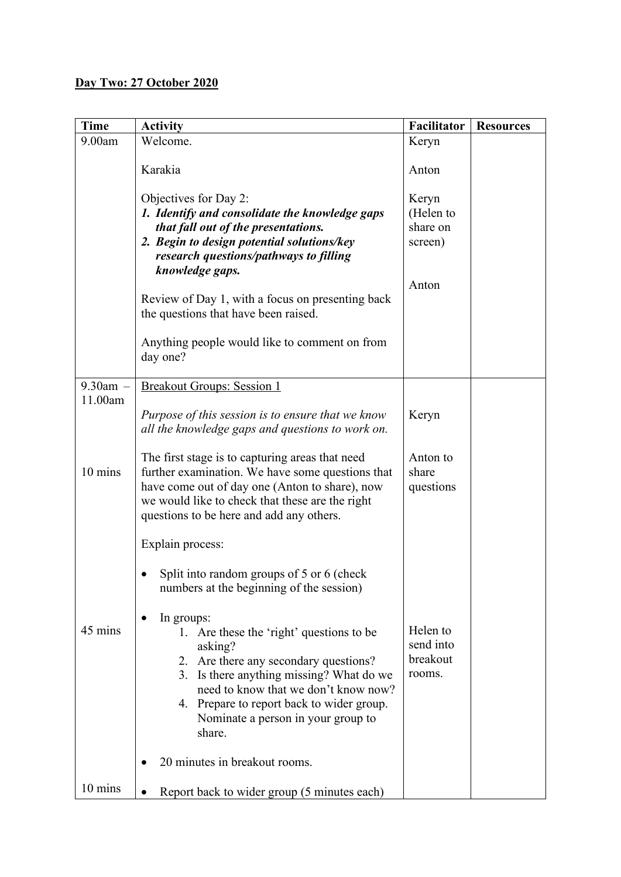| <b>Time</b>   | <b>Activity</b>                                                                                                                                                                                                                                                                             | Facilitator                                        | <b>Resources</b> |
|---------------|---------------------------------------------------------------------------------------------------------------------------------------------------------------------------------------------------------------------------------------------------------------------------------------------|----------------------------------------------------|------------------|
| 9.00am        | Welcome.                                                                                                                                                                                                                                                                                    | Keryn                                              |                  |
|               | Karakia                                                                                                                                                                                                                                                                                     | Anton                                              |                  |
|               | Objectives for Day 2:<br>1. Identify and consolidate the knowledge gaps<br>that fall out of the presentations.<br>2. Begin to design potential solutions/key<br>research questions/pathways to filling<br>knowledge gaps.                                                                   | Keryn<br>(Helen to<br>share on<br>screen)<br>Anton |                  |
|               | Review of Day 1, with a focus on presenting back<br>the questions that have been raised.                                                                                                                                                                                                    |                                                    |                  |
|               | Anything people would like to comment on from<br>day one?                                                                                                                                                                                                                                   |                                                    |                  |
| $9.30$ am $-$ | <b>Breakout Groups: Session 1</b>                                                                                                                                                                                                                                                           |                                                    |                  |
| 11.00am       | Purpose of this session is to ensure that we know<br>all the knowledge gaps and questions to work on.                                                                                                                                                                                       | Keryn                                              |                  |
| 10 mins       | The first stage is to capturing areas that need<br>further examination. We have some questions that<br>have come out of day one (Anton to share), now<br>we would like to check that these are the right<br>questions to be here and add any others.                                        | Anton to<br>share<br>questions                     |                  |
|               | Explain process:                                                                                                                                                                                                                                                                            |                                                    |                  |
|               | Split into random groups of 5 or 6 (check<br>numbers at the beginning of the session)                                                                                                                                                                                                       |                                                    |                  |
| 45 mins       | In groups:<br>1. Are these the 'right' questions to be<br>asking?<br>2. Are there any secondary questions?<br>3. Is there anything missing? What do we<br>need to know that we don't know now?<br>4. Prepare to report back to wider group.<br>Nominate a person in your group to<br>share. | Helen to<br>send into<br>breakout<br>rooms.        |                  |
|               | 20 minutes in breakout rooms.                                                                                                                                                                                                                                                               |                                                    |                  |
| 10 mins       | Report back to wider group (5 minutes each)                                                                                                                                                                                                                                                 |                                                    |                  |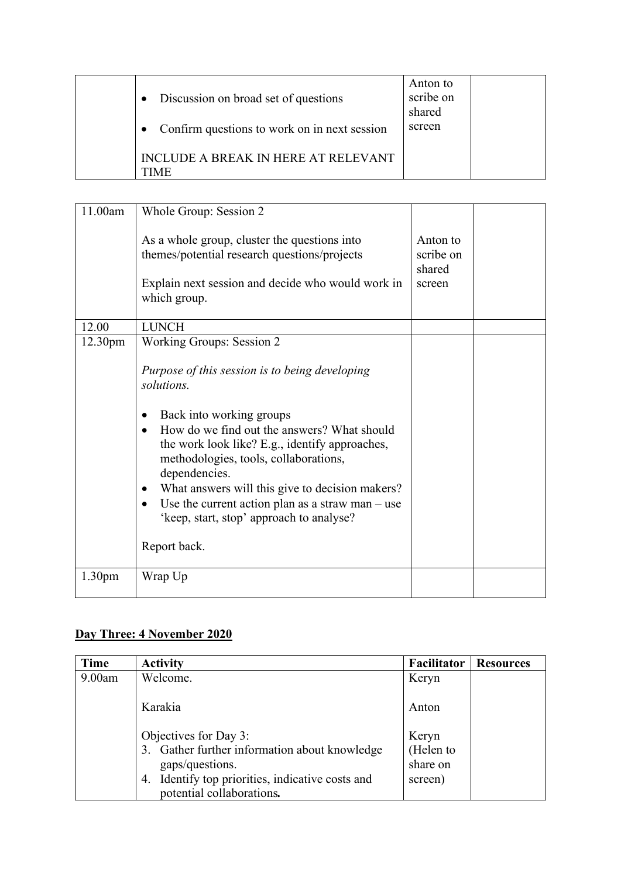| Discussion on broad set of questions         | Anton to<br>scribe on<br>shared |  |
|----------------------------------------------|---------------------------------|--|
| Confirm questions to work on in next session | screen                          |  |
| INCLUDE A BREAK IN HERE AT RELEVANT<br>TIME  |                                 |  |

| 11.00am            | Whole Group: Session 2                                                                                                                                                                                                                                                                                                                                                                                                                                                                 |                                           |  |
|--------------------|----------------------------------------------------------------------------------------------------------------------------------------------------------------------------------------------------------------------------------------------------------------------------------------------------------------------------------------------------------------------------------------------------------------------------------------------------------------------------------------|-------------------------------------------|--|
|                    | As a whole group, cluster the questions into<br>themes/potential research questions/projects<br>Explain next session and decide who would work in<br>which group.                                                                                                                                                                                                                                                                                                                      | Anton to<br>scribe on<br>shared<br>screen |  |
| 12.00              | <b>LUNCH</b>                                                                                                                                                                                                                                                                                                                                                                                                                                                                           |                                           |  |
| 12.30pm            | <b>Working Groups: Session 2</b><br>Purpose of this session is to being developing<br>solutions.<br>Back into working groups<br>How do we find out the answers? What should<br>$\bullet$<br>the work look like? E.g., identify approaches,<br>methodologies, tools, collaborations,<br>dependencies.<br>What answers will this give to decision makers?<br>Use the current action plan as a straw man $-$ use<br>$\bullet$<br>'keep, start, stop' approach to analyse?<br>Report back. |                                           |  |
| 1.30 <sub>pm</sub> | Wrap Up                                                                                                                                                                                                                                                                                                                                                                                                                                                                                |                                           |  |

# **Day Three: 4 November 2020**

| Time   | <b>Activity</b>                                                                                                                                                               | Facilitator                               | <b>Resources</b> |
|--------|-------------------------------------------------------------------------------------------------------------------------------------------------------------------------------|-------------------------------------------|------------------|
| 9.00am | Welcome.                                                                                                                                                                      | Keryn                                     |                  |
|        | Karakia                                                                                                                                                                       | Anton                                     |                  |
|        | Objectives for Day 3:<br>3. Gather further information about knowledge<br>gaps/questions.<br>Identify top priorities, indicative costs and<br>4.<br>potential collaborations. | Keryn<br>(Helen to<br>share on<br>screen) |                  |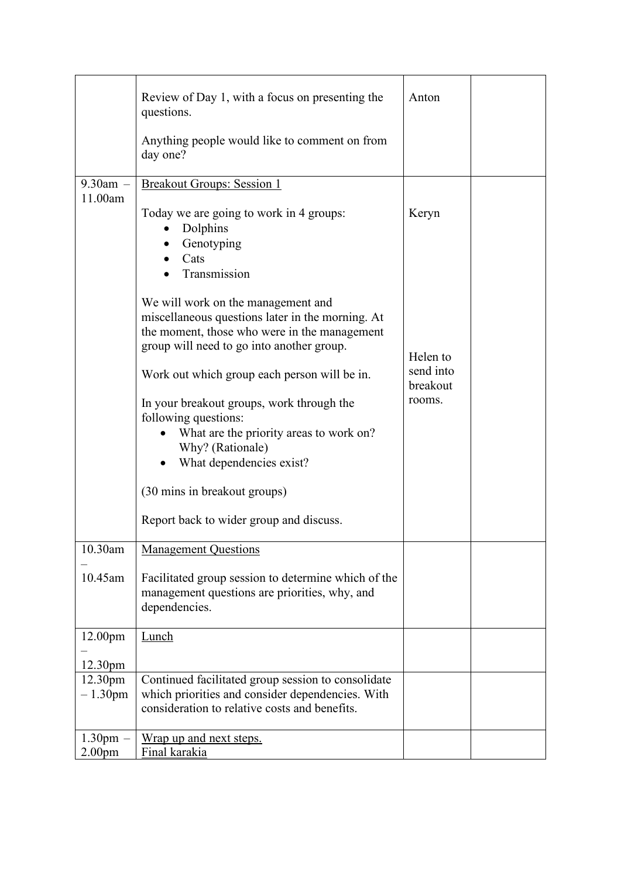|                     | Review of Day 1, with a focus on presenting the<br>questions.                                                                                                                       | Anton                 |  |
|---------------------|-------------------------------------------------------------------------------------------------------------------------------------------------------------------------------------|-----------------------|--|
|                     | Anything people would like to comment on from<br>day one?                                                                                                                           |                       |  |
| $9.30$ am $-$       | <b>Breakout Groups: Session 1</b>                                                                                                                                                   |                       |  |
| 11.00am             | Today we are going to work in 4 groups:<br>Dolphins<br>Genotyping<br>Cats                                                                                                           | Keryn                 |  |
|                     | Transmission                                                                                                                                                                        |                       |  |
|                     | We will work on the management and<br>miscellaneous questions later in the morning. At<br>the moment, those who were in the management<br>group will need to go into another group. | Helen to              |  |
|                     | Work out which group each person will be in.                                                                                                                                        | send into<br>breakout |  |
|                     | In your breakout groups, work through the<br>following questions:<br>What are the priority areas to work on?<br>Why? (Rationale)<br>What dependencies exist?                        | rooms.                |  |
|                     | (30 mins in breakout groups)                                                                                                                                                        |                       |  |
|                     | Report back to wider group and discuss.                                                                                                                                             |                       |  |
| 10.30am             | <b>Management Questions</b>                                                                                                                                                         |                       |  |
| 10.45am             | Facilitated group session to determine which of the<br>management questions are priorities, why, and<br>dependencies.                                                               |                       |  |
| 12.00pm             | Lunch                                                                                                                                                                               |                       |  |
| 12.30pm             |                                                                                                                                                                                     |                       |  |
| 12.30 <sub>pm</sub> | Continued facilitated group session to consolidate                                                                                                                                  |                       |  |
| $-1.30$ pm          | which priorities and consider dependencies. With<br>consideration to relative costs and benefits.                                                                                   |                       |  |
| 1.30 <sub>pm</sub>  | Wrap up and next steps.                                                                                                                                                             |                       |  |
| 2.00 <sub>pm</sub>  | <u>Final karakia</u>                                                                                                                                                                |                       |  |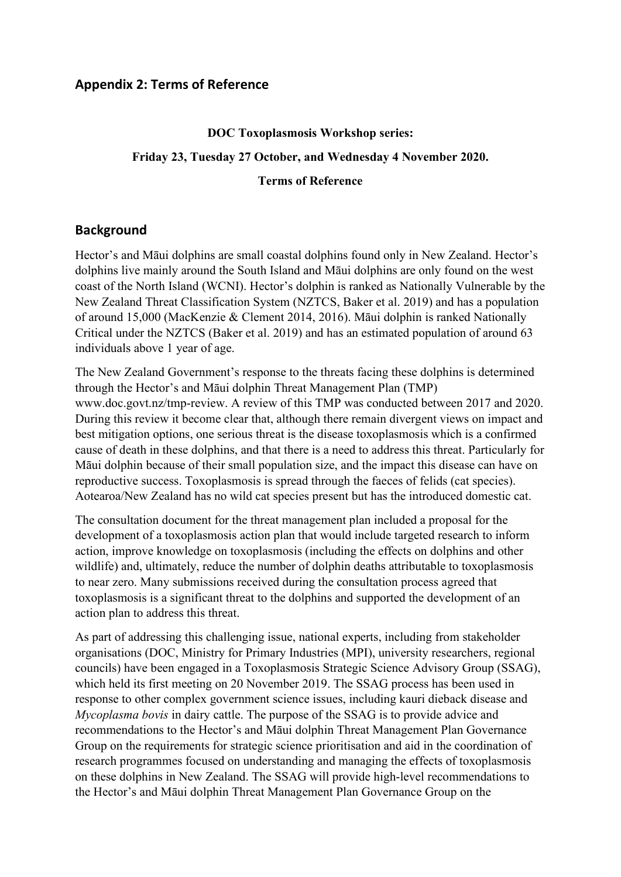### **Appendix 2: Terms of Reference**

# **DOC Toxoplasmosis Workshop series: Friday 23, Tuesday 27 October, and Wednesday 4 November 2020. Terms of Reference**

### **Background**

Hector's and Māui dolphins are small coastal dolphins found only in New Zealand. Hector's dolphins live mainly around the South Island and Māui dolphins are only found on the west coast of the North Island (WCNI). Hector's dolphin is ranked as Nationally Vulnerable by the New Zealand Threat Classification System (NZTCS, Baker et al. 2019) and has a population of around 15,000 (MacKenzie & Clement 2014, 2016). Māui dolphin is ranked Nationally Critical under the NZTCS (Baker et al. 2019) and has an estimated population of around 63 individuals above 1 year of age.

The New Zealand Government's response to the threats facing these dolphins is determined through the Hector's and Māui dolphin Threat Management Plan (TMP) www.doc.govt.nz/tmp-review. A review of this TMP was conducted between 2017 and 2020. During this review it become clear that, although there remain divergent views on impact and best mitigation options, one serious threat is the disease toxoplasmosis which is a confirmed cause of death in these dolphins, and that there is a need to address this threat. Particularly for Māui dolphin because of their small population size, and the impact this disease can have on reproductive success. Toxoplasmosis is spread through the faeces of felids (cat species). Aotearoa/New Zealand has no wild cat species present but has the introduced domestic cat.

The consultation document for the threat management plan included a proposal for the development of a toxoplasmosis action plan that would include targeted research to inform action, improve knowledge on toxoplasmosis (including the effects on dolphins and other wildlife) and, ultimately, reduce the number of dolphin deaths attributable to toxoplasmosis to near zero. Many submissions received during the consultation process agreed that toxoplasmosis is a significant threat to the dolphins and supported the development of an action plan to address this threat.

As part of addressing this challenging issue, national experts, including from stakeholder organisations (DOC, Ministry for Primary Industries (MPI), university researchers, regional councils) have been engaged in a Toxoplasmosis Strategic Science Advisory Group (SSAG), which held its first meeting on 20 November 2019. The SSAG process has been used in response to other complex government science issues, including kauri dieback disease and *Mycoplasma bovis* in dairy cattle. The purpose of the SSAG is to provide advice and recommendations to the Hector's and Māui dolphin Threat Management Plan Governance Group on the requirements for strategic science prioritisation and aid in the coordination of research programmes focused on understanding and managing the effects of toxoplasmosis on these dolphins in New Zealand. The SSAG will provide high-level recommendations to the Hector's and Māui dolphin Threat Management Plan Governance Group on the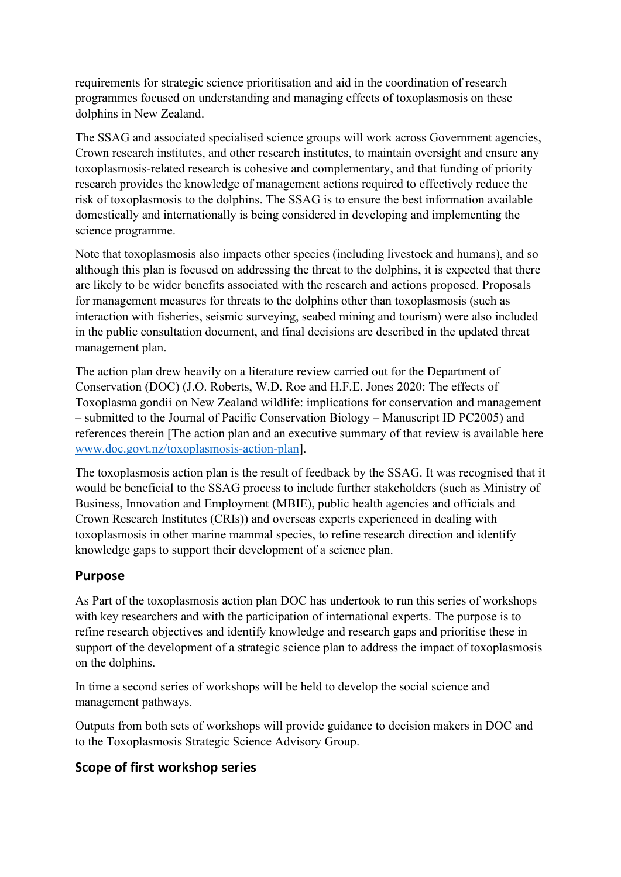requirements for strategic science prioritisation and aid in the coordination of research programmes focused on understanding and managing effects of toxoplasmosis on these dolphins in New Zealand.

The SSAG and associated specialised science groups will work across Government agencies, Crown research institutes, and other research institutes, to maintain oversight and ensure any toxoplasmosis-related research is cohesive and complementary, and that funding of priority research provides the knowledge of management actions required to effectively reduce the risk of toxoplasmosis to the dolphins. The SSAG is to ensure the best information available domestically and internationally is being considered in developing and implementing the science programme.

Note that toxoplasmosis also impacts other species (including livestock and humans), and so although this plan is focused on addressing the threat to the dolphins, it is expected that there are likely to be wider benefits associated with the research and actions proposed. Proposals for management measures for threats to the dolphins other than toxoplasmosis (such as interaction with fisheries, seismic surveying, seabed mining and tourism) were also included in the public consultation document, and final decisions are described in the updated threat management plan.

The action plan drew heavily on a literature review carried out for the Department of Conservation (DOC) (J.O. Roberts, W.D. Roe and H.F.E. Jones 2020: The effects of Toxoplasma gondii on New Zealand wildlife: implications for conservation and management – submitted to the Journal of Pacific Conservation Biology – Manuscript ID PC2005) and references therein [The action plan and an executive summary of that review is available here [www.doc.govt.nz/toxoplasmosis](http://www.doc.govt.nz/toxoplasmosis-action-plan)-action-plan].

The toxoplasmosis action plan is the result of feedback by the SSAG. It was recognised that it would be beneficial to the SSAG process to include further stakeholders (such as Ministry of Business, Innovation and Employment (MBIE), public health agencies and officials and Crown Research Institutes (CRIs)) and overseas experts experienced in dealing with toxoplasmosis in other marine mammal species, to refine research direction and identify knowledge gaps to support their development of a science plan.

### **Purpose**

As Part of the toxoplasmosis action plan DOC has undertook to run this series of workshops with key researchers and with the participation of international experts. The purpose is to refine research objectives and identify knowledge and research gaps and prioritise these in support of the development of a strategic science plan to address the impact of toxoplasmosis on the dolphins.

In time a second series of workshops will be held to develop the social science and management pathways.

Outputs from both sets of workshops will provide guidance to decision makers in DOC and to the Toxoplasmosis Strategic Science Advisory Group.

### **Scope of first workshop series**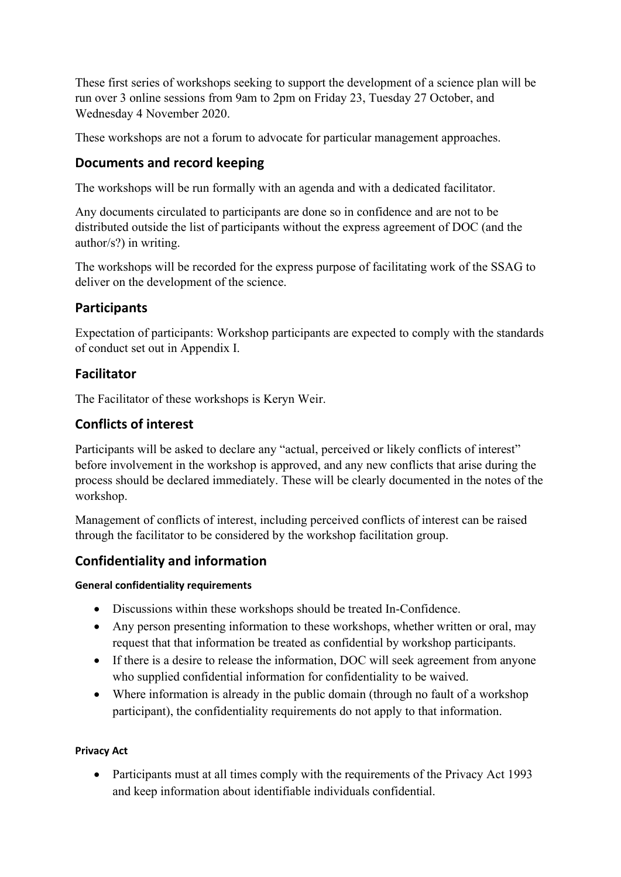These first series of workshops seeking to support the development of a science plan will be run over 3 online sessions from 9am to 2pm on Friday 23, Tuesday 27 October, and Wednesday 4 November 2020.

These workshops are not a forum to advocate for particular management approaches.

# **Documents and record keeping**

The workshops will be run formally with an agenda and with a dedicated facilitator.

Any documents circulated to participants are done so in confidence and are not to be distributed outside the list of participants without the express agreement of DOC (and the author/s?) in writing.

The workshops will be recorded for the express purpose of facilitating work of the SSAG to deliver on the development of the science.

# **Participants**

Expectation of participants: Workshop participants are expected to comply with the standards of conduct set out in Appendix I.

# **Facilitator**

The Facilitator of these workshops is Keryn Weir.

# **Conflicts of interest**

Participants will be asked to declare any "actual, perceived or likely conflicts of interest" before involvement in the workshop is approved, and any new conflicts that arise during the process should be declared immediately. These will be clearly documented in the notes of the workshop.

Management of conflicts of interest, including perceived conflicts of interest can be raised through the facilitator to be considered by the workshop facilitation group.

# **Confidentiality and information**

### **General confidentiality requirements**

- Discussions within these workshops should be treated In-Confidence.
- Any person presenting information to these workshops, whether written or oral, may request that that information be treated as confidential by workshop participants.
- If there is a desire to release the information, DOC will seek agreement from anyone who supplied confidential information for confidentiality to be waived.
- Where information is already in the public domain (through no fault of a workshop participant), the confidentiality requirements do not apply to that information.

### **Privacy Act**

• Participants must at all times comply with the requirements of the Privacy Act 1993 and keep information about identifiable individuals confidential.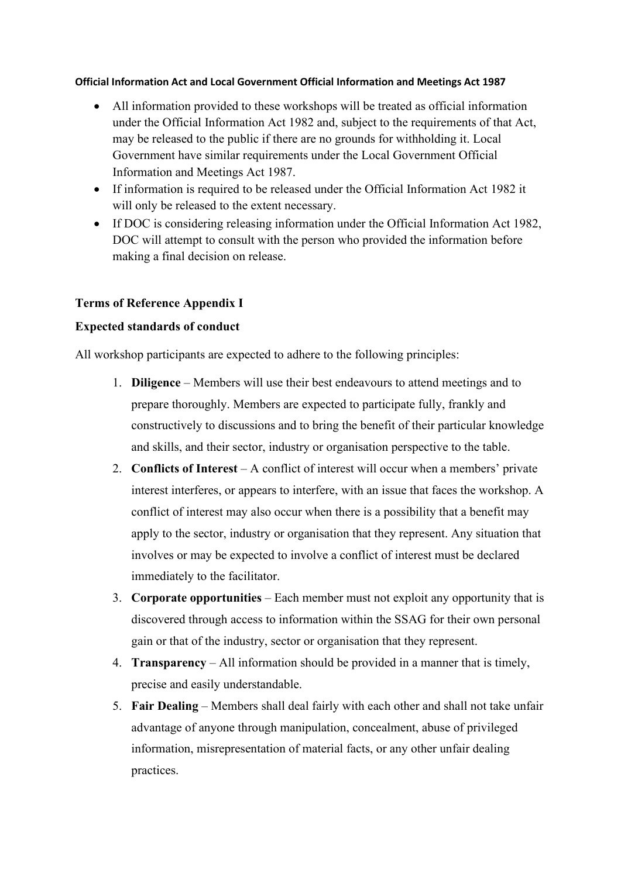#### **Official Information Act and Local Government Official Information and Meetings Act 1987**

- All information provided to these workshops will be treated as official information under the Official Information Act 1982 and, subject to the requirements of that Act, may be released to the public if there are no grounds for withholding it. Local Government have similar requirements under the Local Government Official Information and Meetings Act 1987.
- If information is required to be released under the Official Information Act 1982 it will only be released to the extent necessary.
- If DOC is considering releasing information under the Official Information Act 1982, DOC will attempt to consult with the person who provided the information before making a final decision on release.

### **Terms of Reference Appendix I**

### **Expected standards of conduct**

All workshop participants are expected to adhere to the following principles:

- 1. **Diligence** Members will use their best endeavours to attend meetings and to prepare thoroughly. Members are expected to participate fully, frankly and constructively to discussions and to bring the benefit of their particular knowledge and skills, and their sector, industry or organisation perspective to the table.
- 2. **Conflicts of Interest** A conflict of interest will occur when a members' private interest interferes, or appears to interfere, with an issue that faces the workshop. A conflict of interest may also occur when there is a possibility that a benefit may apply to the sector, industry or organisation that they represent. Any situation that involves or may be expected to involve a conflict of interest must be declared immediately to the facilitator.
- 3. **Corporate opportunities** *–* Each member must not exploit any opportunity that is discovered through access to information within the SSAG for their own personal gain or that of the industry, sector or organisation that they represent.
- 4. **Transparency**  All information should be provided in a manner that is timely, precise and easily understandable.
- 5. **Fair Dealing** Members shall deal fairly with each other and shall not take unfair advantage of anyone through manipulation, concealment, abuse of privileged information, misrepresentation of material facts, or any other unfair dealing practices.